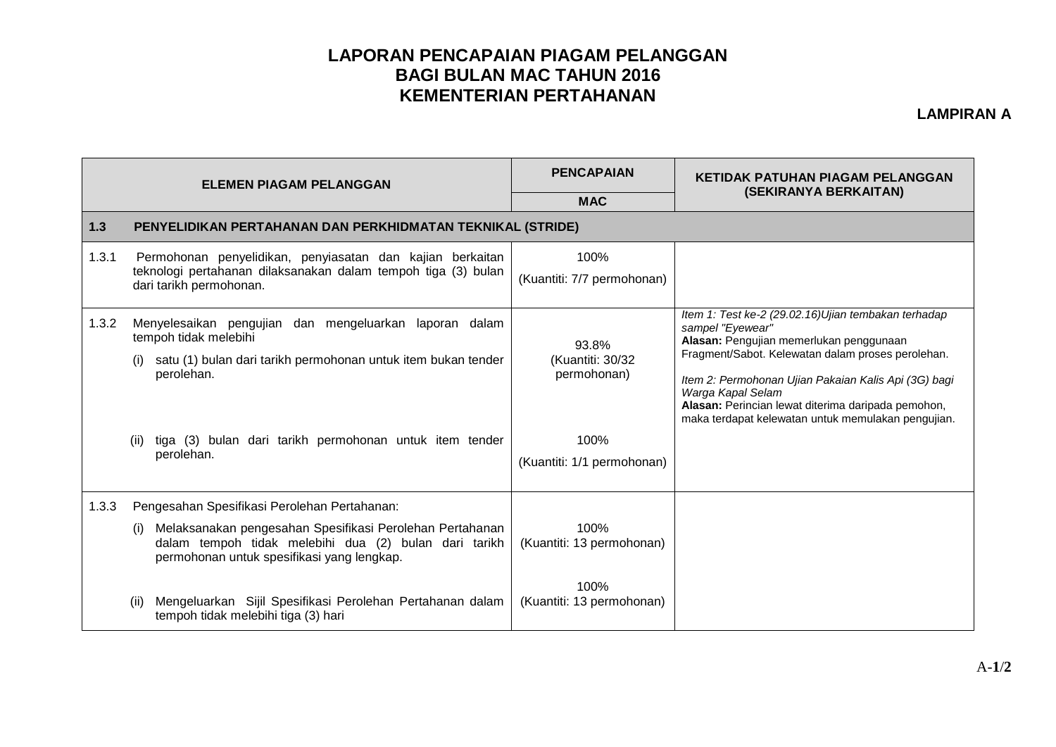## **LAPORAN PENCAPAIAN PIAGAM PELANGGAN BAGI BULAN MAC TAHUN 2016 KEMENTERIAN PERTAHANAN**

**LAMPIRAN A**

|       | <b>ELEMEN PIAGAM PELANGGAN</b>                                                                                                                                                                                                                                                                                                     | <b>PENCAPAIAN</b>                                                              | <b>KETIDAK PATUHAN PIAGAM PELANGGAN</b>                                                                                                                                                                                                                                                                                                                          |  |  |
|-------|------------------------------------------------------------------------------------------------------------------------------------------------------------------------------------------------------------------------------------------------------------------------------------------------------------------------------------|--------------------------------------------------------------------------------|------------------------------------------------------------------------------------------------------------------------------------------------------------------------------------------------------------------------------------------------------------------------------------------------------------------------------------------------------------------|--|--|
|       |                                                                                                                                                                                                                                                                                                                                    | <b>MAC</b>                                                                     | (SEKIRANYA BERKAITAN)                                                                                                                                                                                                                                                                                                                                            |  |  |
| 1.3   | PENYELIDIKAN PERTAHANAN DAN PERKHIDMATAN TEKNIKAL (STRIDE)                                                                                                                                                                                                                                                                         |                                                                                |                                                                                                                                                                                                                                                                                                                                                                  |  |  |
| 1.3.1 | Permohonan penyelidikan, penyiasatan dan kajian berkaitan<br>teknologi pertahanan dilaksanakan dalam tempoh tiga (3) bulan<br>dari tarikh permohonan.                                                                                                                                                                              | 100%<br>(Kuantiti: 7/7 permohonan)                                             |                                                                                                                                                                                                                                                                                                                                                                  |  |  |
| 1.3.2 | Menyelesaikan pengujian dan mengeluarkan laporan dalam<br>tempoh tidak melebihi<br>satu (1) bulan dari tarikh permohonan untuk item bukan tender<br>perolehan.<br>tiga (3) bulan dari tarikh permohonan untuk item tender<br>(ii)<br>perolehan.                                                                                    | 93.8%<br>(Kuantiti: 30/32<br>permohonan)<br>100%<br>(Kuantiti: 1/1 permohonan) | Item 1: Test ke-2 (29.02.16)Ujian tembakan terhadap<br>sampel "Eyewear"<br>Alasan: Pengujian memerlukan penggunaan<br>Fragment/Sabot. Kelewatan dalam proses perolehan.<br>Item 2: Permohonan Ujian Pakaian Kalis Api (3G) bagi<br>Warga Kapal Selam<br>Alasan: Perincian lewat diterima daripada pemohon,<br>maka terdapat kelewatan untuk memulakan pengujian. |  |  |
| 1.3.3 | Pengesahan Spesifikasi Perolehan Pertahanan:<br>Melaksanakan pengesahan Spesifikasi Perolehan Pertahanan<br>(i)<br>dalam tempoh tidak melebihi dua (2) bulan dari tarikh<br>permohonan untuk spesifikasi yang lengkap.<br>Mengeluarkan Sijil Spesifikasi Perolehan Pertahanan dalam<br>(ii)<br>tempoh tidak melebihi tiga (3) hari | 100%<br>(Kuantiti: 13 permohonan)<br>100%<br>(Kuantiti: 13 permohonan)         |                                                                                                                                                                                                                                                                                                                                                                  |  |  |